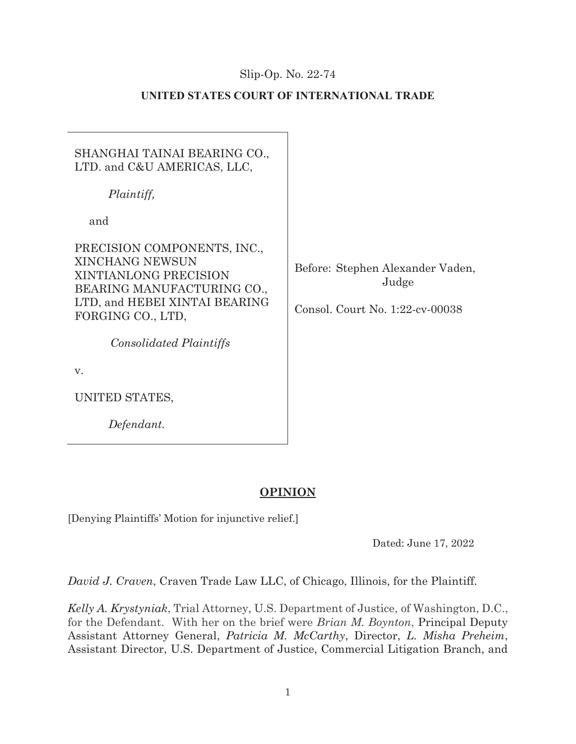## Slip-Op. No.  $22-74$

## **UNITED STATES COURT OF INTERNATIONAL TRADE**

# SHANGHAI TAINAI BEARING CO., LTD. and C&U AMERICAS, LLC,

*Plaintiff,* 

and

PRECISION COMPONENTS, INC., XINCHANG NEWSUN XINTIANLONG PRECISION BEARING MANUFACTURING CO., LTD, and HEBEI XINTAI BEARING FORGING CO., LTD,

*Consolidated Plaintiffs*

v.

UNITED STATES,

*Defendant.* 

Before: Stephen Alexander Vaden, Judge

Consol. Court No. 1:22-cv-0038

# **OPINION**

[Denying Plaintiffs' Motion for injunctive relief.]

Dated: June 17, 2022

*David J. Craven*, Craven Trade Law LLC, of Chicago, Illinois, for the Plaintiff.

*Kelly A. Krystyniak*, Trial Attorney, U.S. Department of Justice, of Washington, D.C., for the Defendant. With her on the brief were *Brian M. Boynton*, Principal Deputy Assistant Attorney General, *Patricia M. McCarthy*, Director, *L. Misha Preheim*, Assistant Director, U.S. Department of Justice, Commercial Litigation Branch, and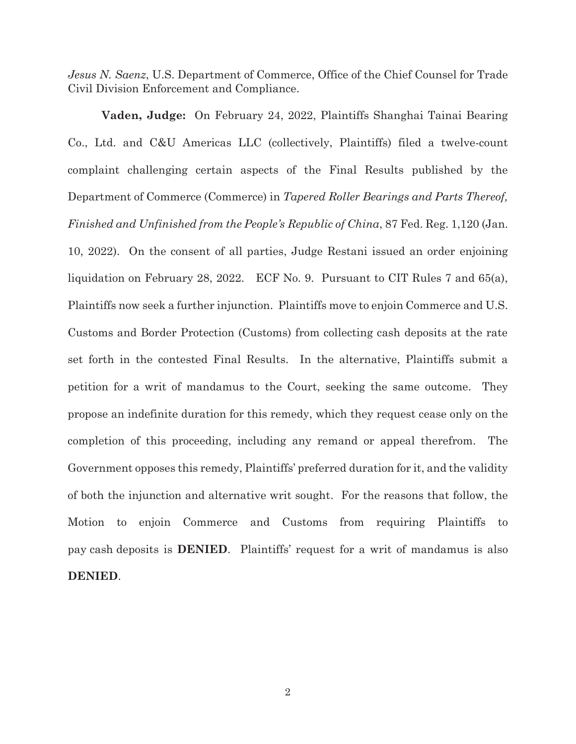*Jesus N. Saenz*, U.S. Department of Commerce, Office of the Chief Counsel for Trade Civil Division Enforcement and Compliance.

**Vaden, Judge:** On February 24, 2022, Plaintiffs Shanghai Tainai Bearing Co., Ltd. and C&U Americas LLC (collectively, Plaintiffs) filed a twelve-count complaint challenging certain aspects of the Final Results published by the Department of Commerce (Commerce) in *Tapered Roller Bearings and Parts Thereof, Finished and Unfinished from the People's Republic of China*, 87 Fed. Reg. 1,120 (Jan. 10, 2022). On the consent of all parties, Judge Restani issued an order enjoining liquidation on February 28, 2022. ECF No. 9. Pursuant to CIT Rules 7 and 65(a), Plaintiffs now seek a further injunction. Plaintiffs move to enjoin Commerce and U.S. Customs and Border Protection (Customs) from collecting cash deposits at the rate set forth in the contested Final Results. In the alternative, Plaintiffs submit a petition for a writ of mandamus to the Court, seeking the same outcome. They propose an indefinite duration for this remedy, which they request cease only on the completion of this proceeding, including any remand or appeal therefrom. The Government opposes this remedy, Plaintiffs' preferred duration for it, and the validity of both the injunction and alternative writ sought. For the reasons that follow, the Motion to enjoin Commerce and Customs from requiring Plaintiffs to pay cash deposits is **DENIED**. Plaintiffs' request for a writ of mandamus is also **DENIED**.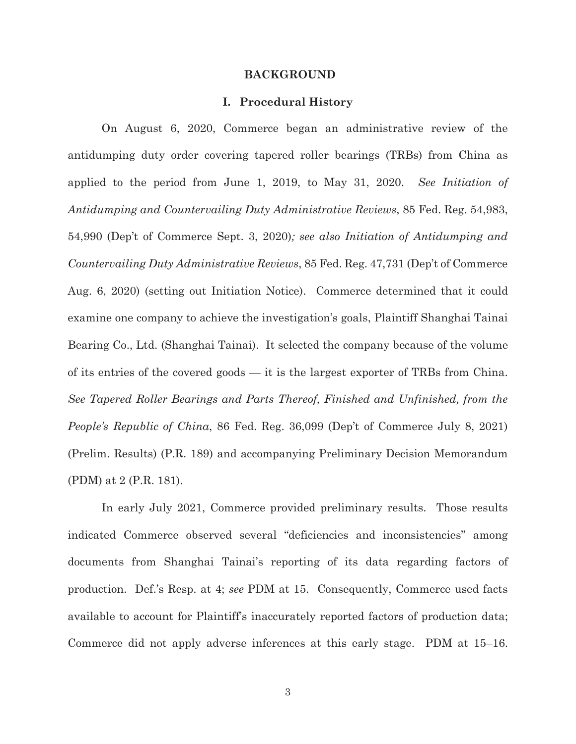#### **BACKGROUND**

#### **I. Procedural History**

On August 6, 2020, Commerce began an administrative review of the antidumping duty order covering tapered roller bearings (TRBs) from China as applied to the period from June 1, 2019, to May 31, 2020. *See Initiation of Antidumping and Countervailing Duty Administrative Reviews*, 85 Fed. Reg. 54,983, 54,990 (Dep't of Commerce Sept. 3, 2020)*; see also Initiation of Antidumping and Countervailing Duty Administrative Reviews*, 85 Fed. Reg. 47,731 (Dep't of Commerce Aug. 6, 2020) (setting out Initiation Notice). Commerce determined that it could examine one company to achieve the investigation's goals, Plaintiff Shanghai Tainai Bearing Co., Ltd. (Shanghai Tainai). It selected the company because of the volume of its entries of the covered goods — it is the largest exporter of TRBs from China. *See Tapered Roller Bearings and Parts Thereof, Finished and Unfinished, from the People's Republic of China*, 86 Fed. Reg. 36,099 (Dep't of Commerce July 8, 2021) (Prelim. Results) (P.R. 189) and accompanying Preliminary Decision Memorandum (PDM) at 2 (P.R. 181).

In early July 2021, Commerce provided preliminary results. Those results indicated Commerce observed several "deficiencies and inconsistencies" among documents from Shanghai Tainai's reporting of its data regarding factors of production. Def.'s Resp. at 4; *see* PDM at 15. Consequently, Commerce used facts available to account for Plaintiff's inaccurately reported factors of production data; Commerce did not apply adverse inferences at this early stage. PDM at 15–16.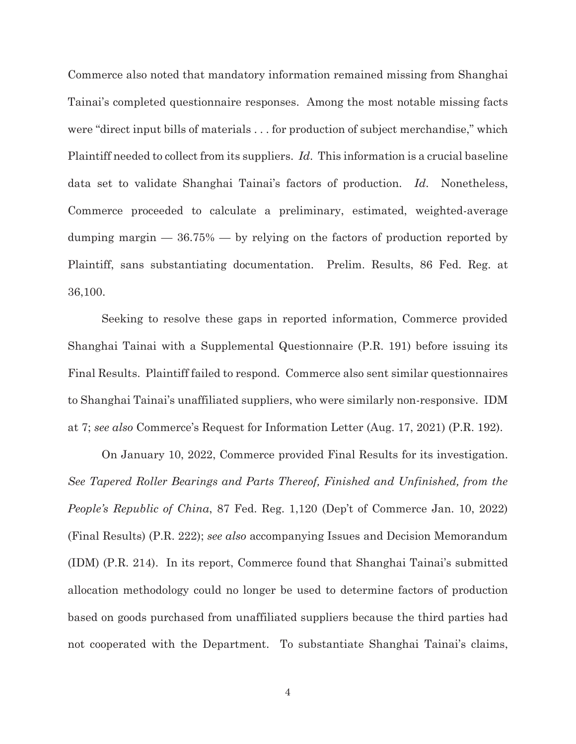Commerce also noted that mandatory information remained missing from Shanghai Tainai's completed questionnaire responses. Among the most notable missing facts were "direct input bills of materials . . . for production of subject merchandise," which Plaintiff needed to collect from its suppliers. *Id*. This information is a crucial baseline data set to validate Shanghai Tainai's factors of production. *Id*. Nonetheless, Commerce proceeded to calculate a preliminary, estimated, weighted-average dumping margin  $-36.75\%$   $-$  by relying on the factors of production reported by Plaintiff, sans substantiating documentation. Prelim. Results, 86 Fed. Reg. at 36,100.

Seeking to resolve these gaps in reported information, Commerce provided Shanghai Tainai with a Supplemental Questionnaire (P.R. 191) before issuing its Final Results. Plaintiff failed to respond. Commerce also sent similar questionnaires to Shanghai Tainai's unaffiliated suppliers, who were similarly non-responsive. IDM at 7; *see also* Commerce's Request for Information Letter (Aug. 17, 2021) (P.R. 192).

On January 10, 2022, Commerce provided Final Results for its investigation. *See Tapered Roller Bearings and Parts Thereof, Finished and Unfinished, from the People's Republic of China*, 87 Fed. Reg. 1,120 (Dep't of Commerce Jan. 10, 2022) (Final Results) (P.R. 222); *see also* accompanying Issues and Decision Memorandum (IDM) (P.R. 214). In its report, Commerce found that Shanghai Tainai's submitted allocation methodology could no longer be used to determine factors of production based on goods purchased from unaffiliated suppliers because the third parties had not cooperated with the Department. To substantiate Shanghai Tainai's claims,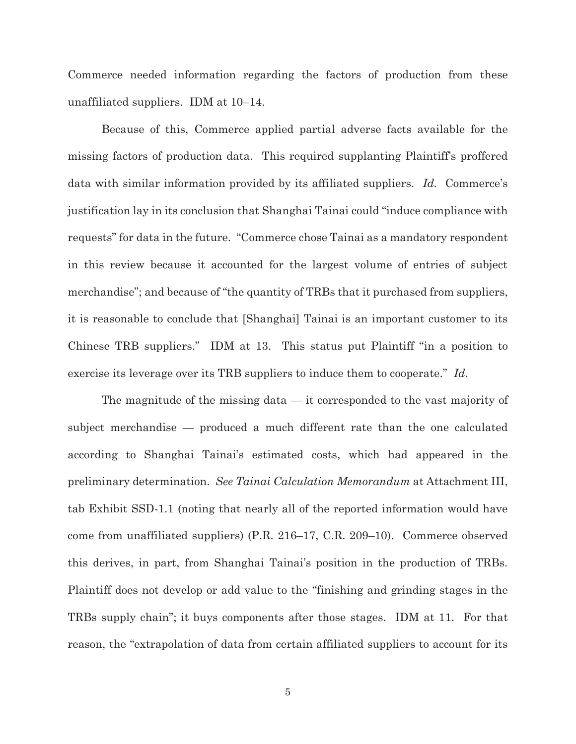Commerce needed information regarding the factors of production from these unaffiliated suppliers. IDM at 10–14.

Because of this, Commerce applied partial adverse facts available for the missing factors of production data. This required supplanting Plaintiff's proffered data with similar information provided by its affiliated suppliers. *Id.* Commerce's justification lay in its conclusion that Shanghai Tainai could "induce compliance with requests" for data in the future. "Commerce chose Tainai as a mandatory respondent in this review because it accounted for the largest volume of entries of subject merchandise"; and because of "the quantity of TRBs that it purchased from suppliers, it is reasonable to conclude that [Shanghai] Tainai is an important customer to its Chinese TRB suppliers." IDM at 13. This status put Plaintiff "in a position to exercise its leverage over its TRB suppliers to induce them to cooperate." *Id*.

The magnitude of the missing data — it corresponded to the vast majority of subject merchandise — produced a much different rate than the one calculated according to Shanghai Tainai's estimated costs, which had appeared in the preliminary determination. *See Tainai Calculation Memorandum* at Attachment III, tab Exhibit SSD-1.1 (noting that nearly all of the reported information would have come from unaffiliated suppliers) (P.R. 216–17, C.R. 209–10). Commerce observed this derives, in part, from Shanghai Tainai's position in the production of TRBs. Plaintiff does not develop or add value to the "finishing and grinding stages in the TRBs supply chain"; it buys components after those stages. IDM at 11. For that reason, the "extrapolation of data from certain affiliated suppliers to account for its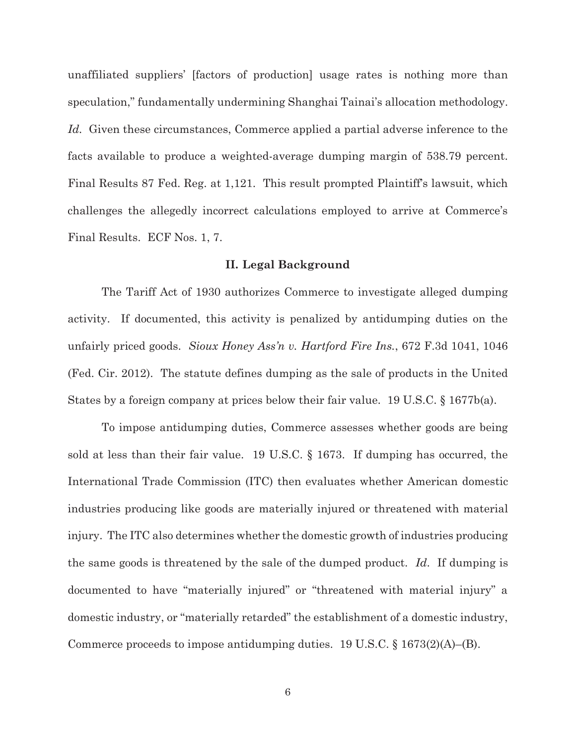unaffiliated suppliers' [factors of production] usage rates is nothing more than speculation," fundamentally undermining Shanghai Tainai's allocation methodology. *Id.* Given these circumstances, Commerce applied a partial adverse inference to the facts available to produce a weighted-average dumping margin of 538.79 percent. Final Results 87 Fed. Reg. at 1,121. This result prompted Plaintiff's lawsuit, which challenges the allegedly incorrect calculations employed to arrive at Commerce's Final Results. ECF Nos. 1, 7.

#### **II. Legal Background**

The Tariff Act of 1930 authorizes Commerce to investigate alleged dumping activity. If documented, this activity is penalized by antidumping duties on the unfairly priced goods. *Sioux Honey Ass'n v. Hartford Fire Ins.*, 672 F.3d 1041, 1046 (Fed. Cir. 2012). The statute defines dumping as the sale of products in the United States by a foreign company at prices below their fair value. 19 U.S.C. § 1677b(a).

To impose antidumping duties, Commerce assesses whether goods are being sold at less than their fair value. 19 U.S.C. § 1673. If dumping has occurred, the International Trade Commission (ITC) then evaluates whether American domestic industries producing like goods are materially injured or threatened with material injury. The ITC also determines whether the domestic growth of industries producing the same goods is threatened by the sale of the dumped product. *Id*. If dumping is documented to have "materially injured" or "threatened with material injury" a domestic industry, or "materially retarded" the establishment of a domestic industry, Commerce proceeds to impose antidumping duties. 19 U.S.C.  $\S 1673(2)(A)$ –(B).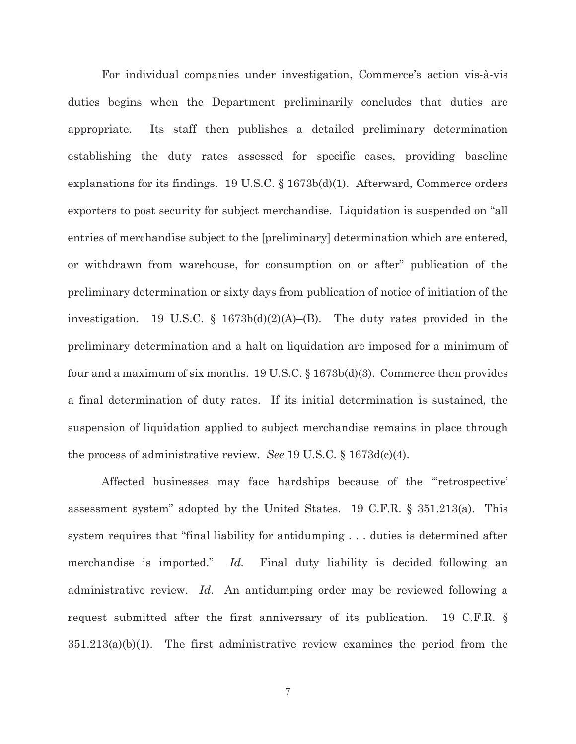For individual companies under investigation, Commerce's action vis-à-vis duties begins when the Department preliminarily concludes that duties are appropriate. Its staff then publishes a detailed preliminary determination establishing the duty rates assessed for specific cases, providing baseline explanations for its findings. 19 U.S.C.  $\S$  1673b(d)(1). Afterward, Commerce orders exporters to post security for subject merchandise. Liquidation is suspended on "all entries of merchandise subject to the [preliminary] determination which are entered, or withdrawn from warehouse, for consumption on or after" publication of the preliminary determination or sixty days from publication of notice of initiation of the investigation. 19 U.S.C. § 1673b(d)(2)(A)–(B). The duty rates provided in the preliminary determination and a halt on liquidation are imposed for a minimum of four and a maximum of six months. 19 U.S.C. § 1673b(d)(3). Commerce then provides a final determination of duty rates. If its initial determination is sustained, the suspension of liquidation applied to subject merchandise remains in place through the process of administrative review. *See* 19 U.S.C. § 1673d(c)(4).

Affected businesses may face hardships because of the "'retrospective' assessment system" adopted by the United States. 19 C.F.R. § 351.213(a). This system requires that "final liability for antidumping . . . duties is determined after merchandise is imported." *Id.* Final duty liability is decided following an administrative review. *Id*. An antidumping order may be reviewed following a request submitted after the first anniversary of its publication. 19 C.F.R. §  $351.213(a)(b)(1)$ . The first administrative review examines the period from the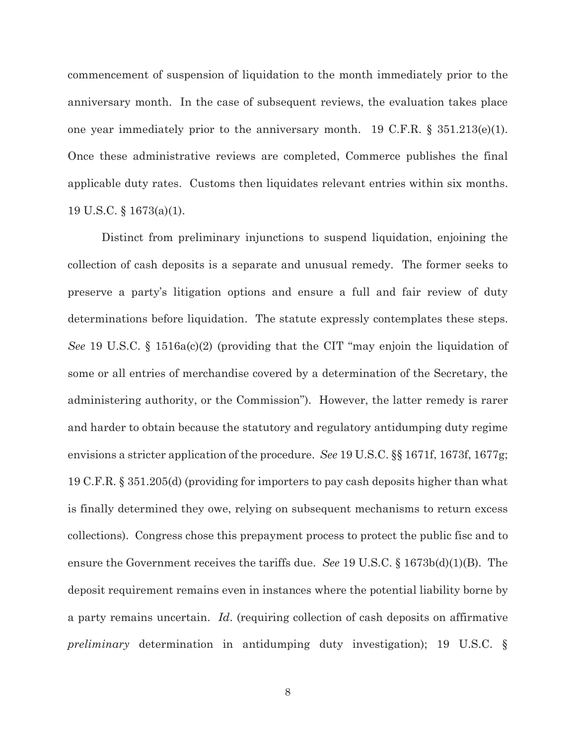commencement of suspension of liquidation to the month immediately prior to the anniversary month. In the case of subsequent reviews, the evaluation takes place one year immediately prior to the anniversary month. 19 C.F.R.  $\S$  351.213(e)(1). Once these administrative reviews are completed, Commerce publishes the final applicable duty rates. Customs then liquidates relevant entries within six months. 19 U.S.C. § 1673(a)(1).

Distinct from preliminary injunctions to suspend liquidation, enjoining the collection of cash deposits is a separate and unusual remedy. The former seeks to preserve a party's litigation options and ensure a full and fair review of duty determinations before liquidation. The statute expressly contemplates these steps. *See* 19 U.S.C. § 1516a(c)(2) (providing that the CIT "may enjoin the liquidation of some or all entries of merchandise covered by a determination of the Secretary, the administering authority, or the Commission"). However, the latter remedy is rarer and harder to obtain because the statutory and regulatory antidumping duty regime envisions a stricter application of the procedure. *See* 19 U.S.C. §§ 1671f, 1673f, 1677g; 19 C.F.R. § 351.205(d) (providing for importers to pay cash deposits higher than what is finally determined they owe, relying on subsequent mechanisms to return excess collections). Congress chose this prepayment process to protect the public fisc and to ensure the Government receives the tariffs due. *See* 19 U.S.C. § 1673b(d)(1)(B). The deposit requirement remains even in instances where the potential liability borne by a party remains uncertain. *Id*. (requiring collection of cash deposits on affirmative *preliminary* determination in antidumping duty investigation); 19 U.S.C. §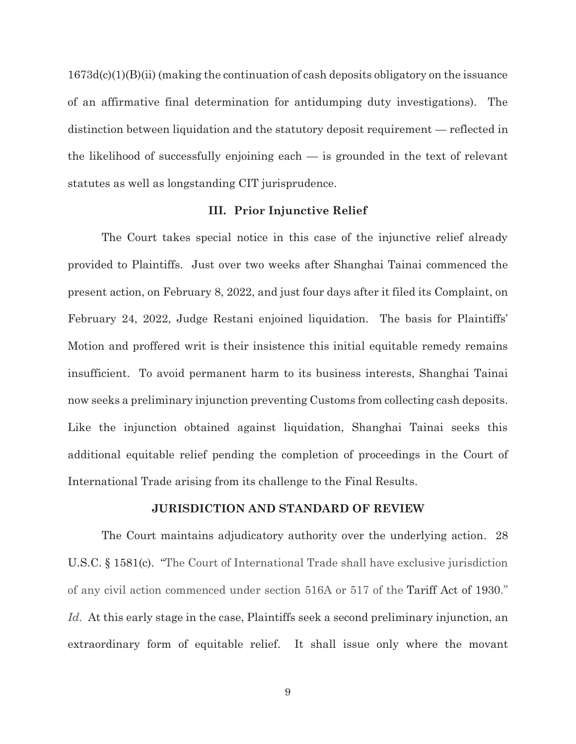$1673d(c)(1)(B)(ii)$  (making the continuation of cash deposits obligatory on the issuance of an affirmative final determination for antidumping duty investigations). The distinction between liquidation and the statutory deposit requirement — reflected in the likelihood of successfully enjoining each — is grounded in the text of relevant statutes as well as longstanding CIT jurisprudence.

#### **III. Prior Injunctive Relief**

The Court takes special notice in this case of the injunctive relief already provided to Plaintiffs. Just over two weeks after Shanghai Tainai commenced the present action, on February 8, 2022, and just four days after it filed its Complaint, on February 24, 2022, Judge Restani enjoined liquidation. The basis for Plaintiffs' Motion and proffered writ is their insistence this initial equitable remedy remains insufficient. To avoid permanent harm to its business interests, Shanghai Tainai now seeks a preliminary injunction preventing Customs from collecting cash deposits. Like the injunction obtained against liquidation, Shanghai Tainai seeks this additional equitable relief pending the completion of proceedings in the Court of International Trade arising from its challenge to the Final Results.

#### **JURISDICTION AND STANDARD OF REVIEW**

The Court maintains adjudicatory authority over the underlying action. 28 U.S.C. § 1581(c). "The Court of International Trade shall have exclusive jurisdiction of any civil action commenced under section 516A or 517 of the Tariff Act of 1930." Id. At this early stage in the case, Plaintiffs seek a second preliminary injunction, an extraordinary form of equitable relief. It shall issue only where the movant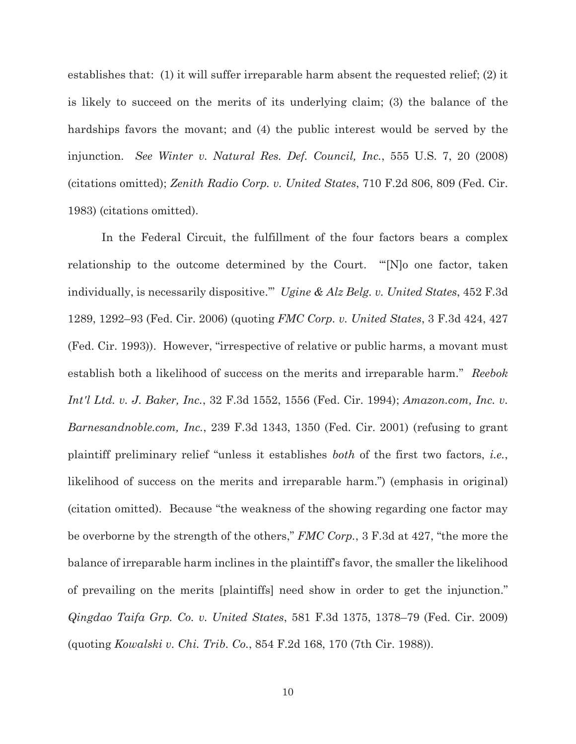establishes that: (1) it will suffer irreparable harm absent the requested relief; (2) it is likely to succeed on the merits of its underlying claim; (3) the balance of the hardships favors the movant; and (4) the public interest would be served by the injunction. *See Winter v. Natural Res. Def. Council, Inc.*, 555 U.S. 7, 20 (2008) (citations omitted); *Zenith Radio Corp. v. United States*, 710 F.2d 806, 809 (Fed. Cir. 1983) (citations omitted).

In the Federal Circuit, the fulfillment of the four factors bears a complex relationship to the outcome determined by the Court. "'[N]o one factor, taken individually, is necessarily dispositive.'" *Ugine & Alz Belg. v. United States*, 452 F.3d 1289, 1292–93 (Fed. Cir. 2006) (quoting *FMC Corp. v. United States*, 3 F.3d 424, 427 (Fed. Cir. 1993)). However, "irrespective of relative or public harms, a movant must establish both a likelihood of success on the merits and irreparable harm." *Reebok Int'l Ltd. v. J. Baker, Inc.*, 32 F.3d 1552, 1556 (Fed. Cir. 1994); *Amazon.com, Inc. v. Barnesandnoble.com, Inc.*, 239 F.3d 1343, 1350 (Fed. Cir. 2001) (refusing to grant plaintiff preliminary relief "unless it establishes *both* of the first two factors, *i.e.*, likelihood of success on the merits and irreparable harm.") (emphasis in original) (citation omitted). Because "the weakness of the showing regarding one factor may be overborne by the strength of the others," *FMC Corp.*, 3 F.3d at 427, "the more the balance of irreparable harm inclines in the plaintiff's favor, the smaller the likelihood of prevailing on the merits [plaintiffs] need show in order to get the injunction." *Qingdao Taifa Grp. Co. v. United States*, 581 F.3d 1375, 1378–79 (Fed. Cir. 2009) (quoting *Kowalski v. Chi. Trib. Co.*, 854 F.2d 168, 170 (7th Cir. 1988)).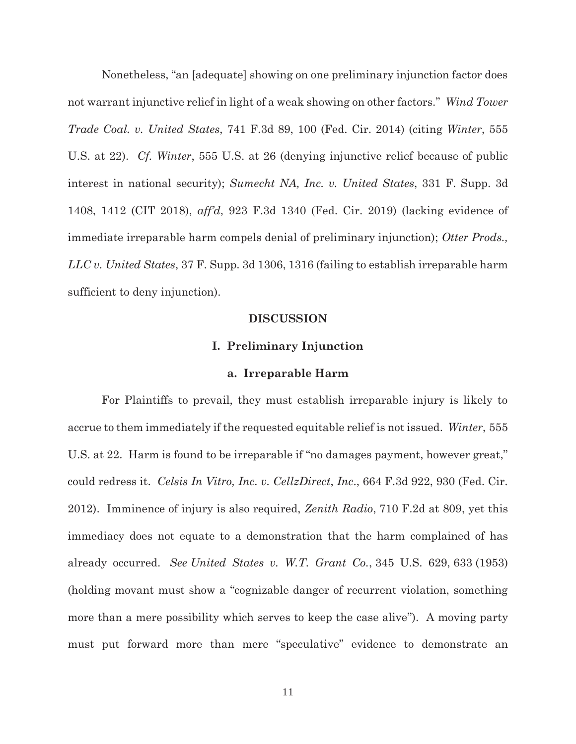Nonetheless, "an [adequate] showing on one preliminary injunction factor does not warrant injunctive relief in light of a weak showing on other factors." *Wind Tower Trade Coal. v. United States*, 741 F.3d 89, 100 (Fed. Cir. 2014) (citing *Winter*, 555 U.S. at 22). *Cf. Winter*, 555 U.S. at 26 (denying injunctive relief because of public interest in national security); *Sumecht NA, Inc. v. United States*, 331 F. Supp. 3d 1408, 1412 (CIT 2018), *aff'd*, 923 F.3d 1340 (Fed. Cir. 2019) (lacking evidence of immediate irreparable harm compels denial of preliminary injunction); *Otter Prods., LLC v. United States*, 37 F. Supp. 3d 1306, 1316 (failing to establish irreparable harm sufficient to deny injunction).

#### **DISCUSSION**

#### **I. Preliminary Injunction**

#### **a. Irreparable Harm**

For Plaintiffs to prevail, they must establish irreparable injury is likely to accrue to them immediately if the requested equitable relief is not issued. *Winter*, 555 U.S. at 22. Harm is found to be irreparable if "no damages payment, however great," could redress it. *Celsis In Vitro, Inc. v. CellzDirect*, *Inc*., 664 F.3d 922, 930 (Fed. Cir. 2012). Imminence of injury is also required, *Zenith Radio*, 710 F.2d at 809, yet this immediacy does not equate to a demonstration that the harm complained of has already occurred. *See United States v. W.T. Grant Co.*, 345 U.S. 629, 633 (1953) (holding movant must show a "cognizable danger of recurrent violation, something more than a mere possibility which serves to keep the case alive"). A moving party must put forward more than mere "speculative" evidence to demonstrate an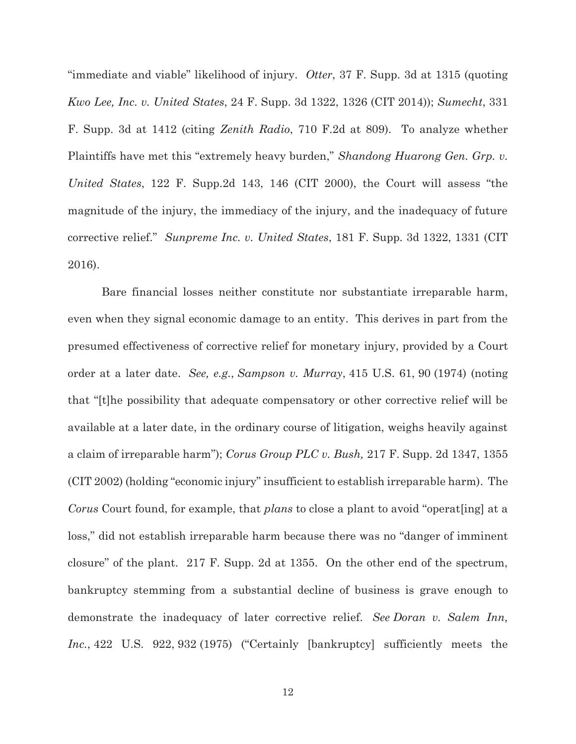"immediate and viable" likelihood of injury. *Otter*, 37 F. Supp. 3d at 1315 (quoting *Kwo Lee, Inc. v. United States*, 24 F. Supp. 3d 1322, 1326 (CIT 2014)); *Sumecht*, 331 F. Supp. 3d at 1412 (citing *Zenith Radio*, 710 F.2d at 809). To analyze whether Plaintiffs have met this "extremely heavy burden," *Shandong Huarong Gen. Grp. v. United States*, 122 F. Supp.2d 143, 146 (CIT 2000), the Court will assess "the magnitude of the injury, the immediacy of the injury, and the inadequacy of future corrective relief." *Sunpreme Inc. v. United States*, 181 F. Supp. 3d 1322, 1331 (CIT 2016).

 Bare financial losses neither constitute nor substantiate irreparable harm, even when they signal economic damage to an entity. This derives in part from the presumed effectiveness of corrective relief for monetary injury, provided by a Court order at a later date. *See, e.g.*, *Sampson v. Murray*, 415 U.S. 61, 90 (1974) (noting that "[t]he possibility that adequate compensatory or other corrective relief will be available at a later date, in the ordinary course of litigation, weighs heavily against a claim of irreparable harm"); *Corus Group PLC v. Bush,* 217 F. Supp. 2d 1347, 1355 (CIT 2002) (holding "economic injury" insufficient to establish irreparable harm). The *Corus* Court found, for example, that *plans* to close a plant to avoid "operat[ing] at a loss," did not establish irreparable harm because there was no "danger of imminent closure" of the plant. 217 F. Supp. 2d at 1355. On the other end of the spectrum, bankruptcy stemming from a substantial decline of business is grave enough to demonstrate the inadequacy of later corrective relief. *See Doran v. Salem Inn, Inc.*, 422 U.S. 922, 932 (1975) ("Certainly [bankruptcy] sufficiently meets the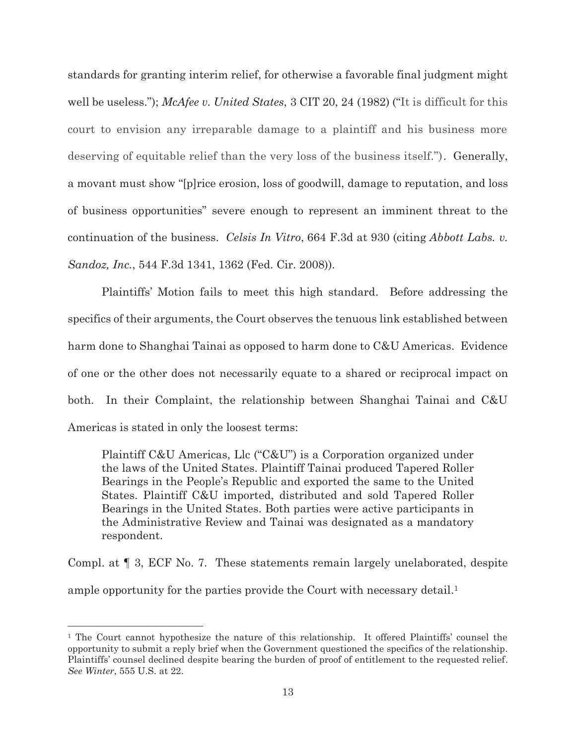standards for granting interim relief, for otherwise a favorable final judgment might well be useless."); *McAfee v. United States*, 3 CIT 20, 24 (1982) ("It is difficult for this court to envision any irreparable damage to a plaintiff and his business more deserving of equitable relief than the very loss of the business itself."). Generally, a movant must show "[p]rice erosion, loss of goodwill, damage to reputation, and loss of business opportunities" severe enough to represent an imminent threat to the continuation of the business. *Celsis In Vitro*, 664 F.3d at 930 (citing *Abbott Labs. v. Sandoz, Inc.*, 544 F.3d 1341, 1362 (Fed. Cir. 2008)).

Plaintiffs' Motion fails to meet this high standard. Before addressing the specifics of their arguments, the Court observes the tenuous link established between harm done to Shanghai Tainai as opposed to harm done to C&U Americas. Evidence of one or the other does not necessarily equate to a shared or reciprocal impact on both. In their Complaint, the relationship between Shanghai Tainai and C&U Americas is stated in only the loosest terms:

Plaintiff C&U Americas, Llc ("C&U") is a Corporation organized under the laws of the United States. Plaintiff Tainai produced Tapered Roller Bearings in the People's Republic and exported the same to the United States. Plaintiff C&U imported, distributed and sold Tapered Roller Bearings in the United States. Both parties were active participants in the Administrative Review and Tainai was designated as a mandatory respondent.

Compl. at ¶ 3, ECF No. 7. These statements remain largely unelaborated, despite ample opportunity for the parties provide the Court with necessary detail.<sup>1</sup>

<sup>1</sup> The Court cannot hypothesize the nature of this relationship. It offered Plaintiffs' counsel the opportunity to submit a reply brief when the Government questioned the specifics of the relationship. Plaintiffs' counsel declined despite bearing the burden of proof of entitlement to the requested relief. *See Winter*, 555 U.S. at 22.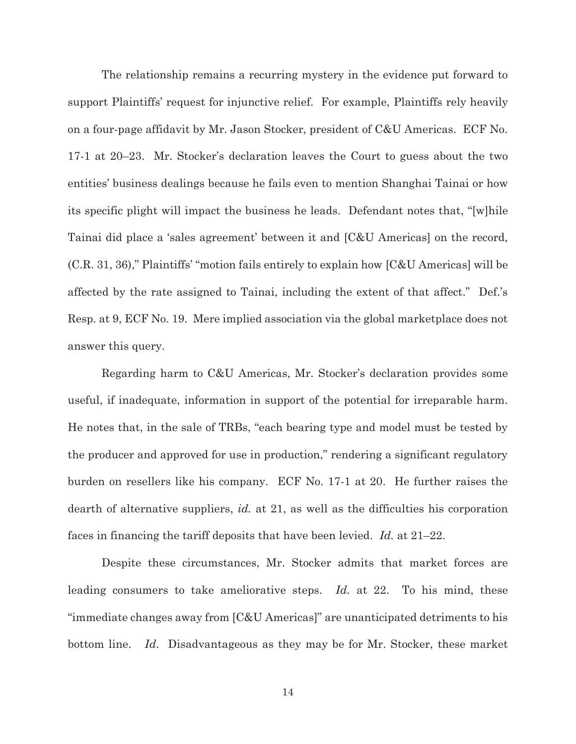The relationship remains a recurring mystery in the evidence put forward to support Plaintiffs' request for injunctive relief. For example, Plaintiffs rely heavily on a four-page affidavit by Mr. Jason Stocker, president of C&U Americas. ECF No. 17-1 at 20–23. Mr. Stocker's declaration leaves the Court to guess about the two entities' business dealings because he fails even to mention Shanghai Tainai or how its specific plight will impact the business he leads. Defendant notes that, "[w]hile Tainai did place a 'sales agreement' between it and [C&U Americas] on the record, (C.R. 31, 36)," Plaintiffs' "motion fails entirely to explain how [C&U Americas] will be affected by the rate assigned to Tainai, including the extent of that affect." Def.'s Resp. at 9, ECF No. 19. Mere implied association via the global marketplace does not answer this query.

Regarding harm to C&U Americas, Mr. Stocker's declaration provides some useful, if inadequate, information in support of the potential for irreparable harm. He notes that, in the sale of TRBs, "each bearing type and model must be tested by the producer and approved for use in production," rendering a significant regulatory burden on resellers like his company. ECF No. 17-1 at 20. He further raises the dearth of alternative suppliers, *id.* at 21, as well as the difficulties his corporation faces in financing the tariff deposits that have been levied. *Id.* at 21–22.

Despite these circumstances, Mr. Stocker admits that market forces are leading consumers to take ameliorative steps. *Id.* at 22. To his mind, these "immediate changes away from [C&U Americas]" are unanticipated detriments to his bottom line. *Id*. Disadvantageous as they may be for Mr. Stocker, these market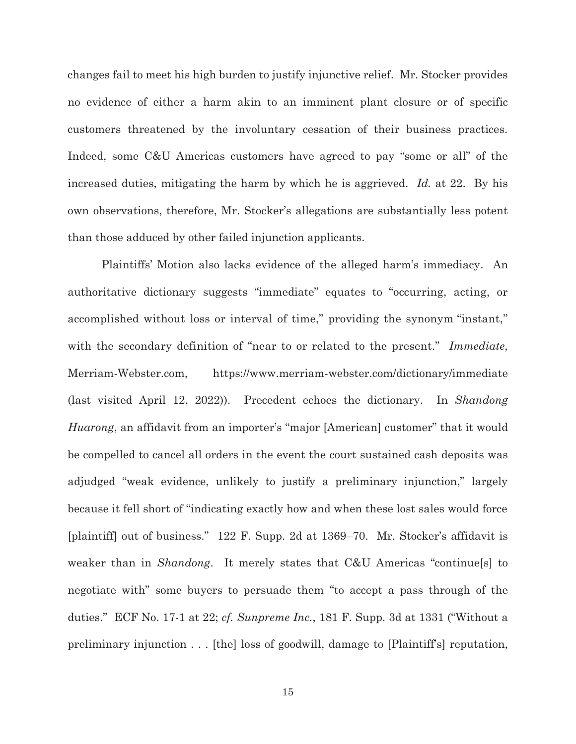changes fail to meet his high burden to justify injunctive relief. Mr. Stocker provides no evidence of either a harm akin to an imminent plant closure or of specific customers threatened by the involuntary cessation of their business practices. Indeed, some C&U Americas customers have agreed to pay "some or all" of the increased duties, mitigating the harm by which he is aggrieved. *Id.* at 22. By his own observations, therefore, Mr. Stocker's allegations are substantially less potent than those adduced by other failed injunction applicants.

Plaintiffs' Motion also lacks evidence of the alleged harm's immediacy. An authoritative dictionary suggests "immediate" equates to "occurring, acting, or accomplished without loss or interval of time," providing the synonym "instant," with the secondary definition of "near to or related to the present." *Immediate*, Merriam-Webster.com, https://www.merriam-webster.com/dictionary/immediate (last visited April 12, 2022)). Precedent echoes the dictionary. In *Shandong Huarong*, an affidavit from an importer's "major [American] customer" that it would be compelled to cancel all orders in the event the court sustained cash deposits was adjudged "weak evidence, unlikely to justify a preliminary injunction," largely because it fell short of "indicating exactly how and when these lost sales would force [plaintiff] out of business." 122 F. Supp. 2d at 1369–70. Mr. Stocker's affidavit is weaker than in *Shandong*. It merely states that C&U Americas "continue[s] to negotiate with" some buyers to persuade them "to accept a pass through of the duties." ECF No. 17-1 at 22; *cf. Sunpreme Inc.*, 181 F. Supp. 3d at 1331 ("Without a preliminary injunction . . . [the] loss of goodwill, damage to [Plaintiff's] reputation,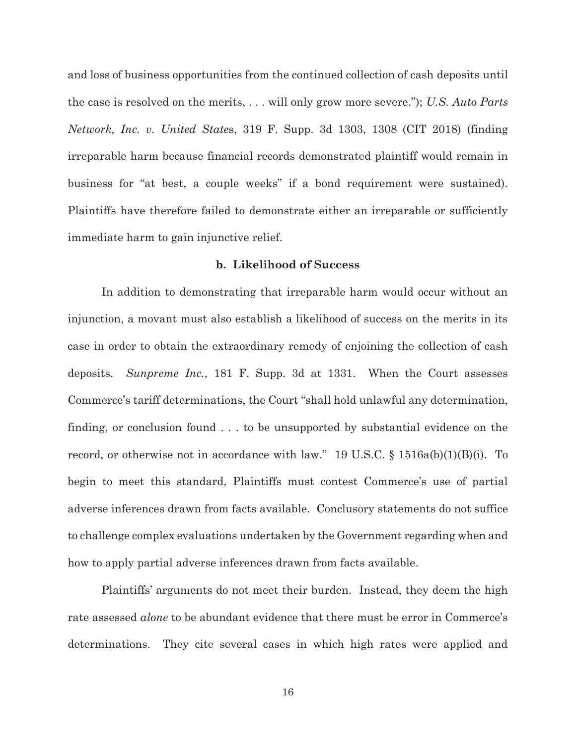and loss of business opportunities from the continued collection of cash deposits until the case is resolved on the merits, . . . will only grow more severe."); *U.S. Auto Parts Network, Inc. v. United State*s, 319 F. Supp. 3d 1303, 1308 (CIT 2018) (finding irreparable harm because financial records demonstrated plaintiff would remain in business for "at best, a couple weeks" if a bond requirement were sustained). Plaintiffs have therefore failed to demonstrate either an irreparable or sufficiently immediate harm to gain injunctive relief.

## **b. Likelihood of Success**

In addition to demonstrating that irreparable harm would occur without an injunction, a movant must also establish a likelihood of success on the merits in its case in order to obtain the extraordinary remedy of enjoining the collection of cash deposits. *Sunpreme Inc.*, 181 F. Supp. 3d at 1331. When the Court assesses Commerce's tariff determinations, the Court "shall hold unlawful any determination, finding, or conclusion found . . . to be unsupported by substantial evidence on the record, or otherwise not in accordance with law." 19 U.S.C. § 1516a(b)(1)(B)(i). To begin to meet this standard, Plaintiffs must contest Commerce's use of partial adverse inferences drawn from facts available. Conclusory statements do not suffice to challenge complex evaluations undertaken by the Government regarding when and how to apply partial adverse inferences drawn from facts available.

Plaintiffs' arguments do not meet their burden. Instead, they deem the high rate assessed *alone* to be abundant evidence that there must be error in Commerce's determinations. They cite several cases in which high rates were applied and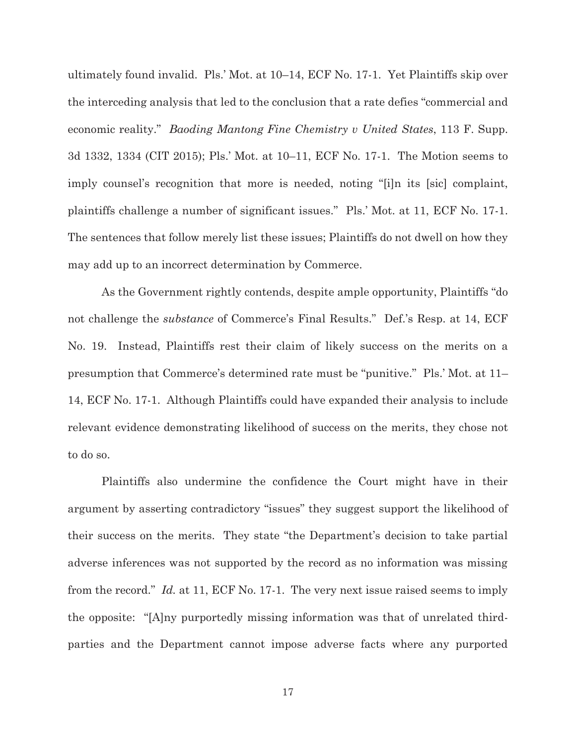ultimately found invalid. Pls.' Mot. at 10–14, ECF No. 17-1. Yet Plaintiffs skip over the interceding analysis that led to the conclusion that a rate defies "commercial and economic reality." *Baoding Mantong Fine Chemistry v United States*, 113 F. Supp. 3d 1332, 1334 (CIT 2015); Pls.' Mot. at 10–11, ECF No. 17-1. The Motion seems to imply counsel's recognition that more is needed, noting "[i]n its [sic] complaint, plaintiffs challenge a number of significant issues." Pls.' Mot. at 11, ECF No. 17-1. The sentences that follow merely list these issues; Plaintiffs do not dwell on how they may add up to an incorrect determination by Commerce.

As the Government rightly contends, despite ample opportunity, Plaintiffs "do not challenge the *substance* of Commerce's Final Results." Def.'s Resp. at 14, ECF No. 19. Instead, Plaintiffs rest their claim of likely success on the merits on a presumption that Commerce's determined rate must be "punitive." Pls.' Mot. at 11– 14, ECF No. 17-1. Although Plaintiffs could have expanded their analysis to include relevant evidence demonstrating likelihood of success on the merits, they chose not to do so.

Plaintiffs also undermine the confidence the Court might have in their argument by asserting contradictory "issues" they suggest support the likelihood of their success on the merits. They state "the Department's decision to take partial adverse inferences was not supported by the record as no information was missing from the record." *Id.* at 11, ECF No. 17-1. The very next issue raised seems to imply the opposite: "[A]ny purportedly missing information was that of unrelated thirdparties and the Department cannot impose adverse facts where any purported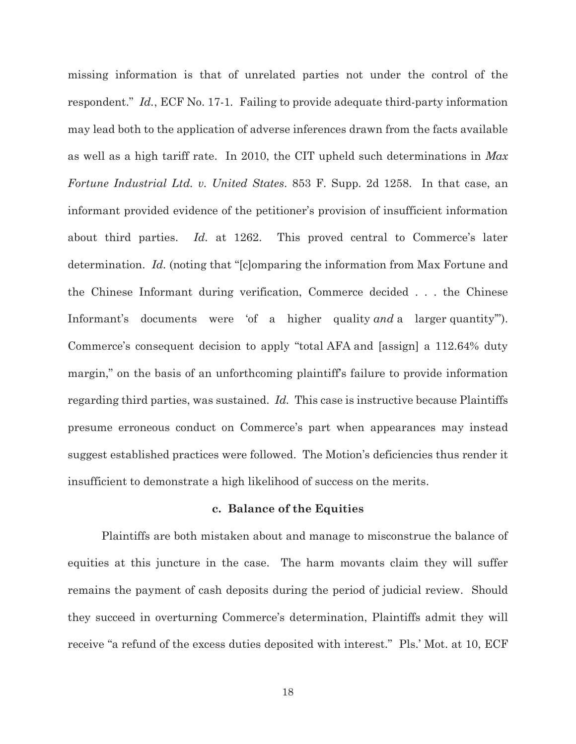missing information is that of unrelated parties not under the control of the respondent." *Id.*, ECF No. 17-1*.* Failing to provide adequate third-party information may lead both to the application of adverse inferences drawn from the facts available as well as a high tariff rate. In 2010, the CIT upheld such determinations in *Max Fortune Industrial Ltd. v. United States*. 853 F. Supp. 2d 1258. In that case, an informant provided evidence of the petitioner's provision of insufficient information about third parties. *Id.* at 1262. This proved central to Commerce's later determination. *Id.* (noting that "[c]omparing the information from Max Fortune and the Chinese Informant during verification, Commerce decided . . . the Chinese Informant's documents were 'of a higher quality *and* a larger quantity'"). Commerce's consequent decision to apply "total AFA and [assign] a 112.64% duty margin," on the basis of an unforthcoming plaintiff's failure to provide information regarding third parties, was sustained. *Id.* This case is instructive because Plaintiffs presume erroneous conduct on Commerce's part when appearances may instead suggest established practices were followed. The Motion's deficiencies thus render it insufficient to demonstrate a high likelihood of success on the merits.

#### **c. Balance of the Equities**

Plaintiffs are both mistaken about and manage to misconstrue the balance of equities at this juncture in the case. The harm movants claim they will suffer remains the payment of cash deposits during the period of judicial review. Should they succeed in overturning Commerce's determination, Plaintiffs admit they will receive "a refund of the excess duties deposited with interest." Pls.' Mot. at 10, ECF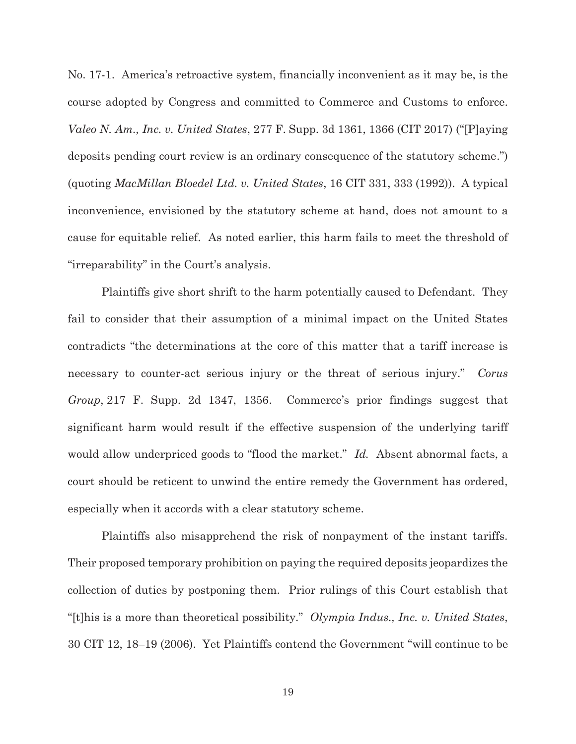No. 17-1. America's retroactive system, financially inconvenient as it may be, is the course adopted by Congress and committed to Commerce and Customs to enforce. *Valeo N. Am., Inc. v. United States*, 277 F. Supp. 3d 1361, 1366 (CIT 2017) ("[P]aying deposits pending court review is an ordinary consequence of the statutory scheme.") (quoting *MacMillan Bloedel Ltd. v. United States*, 16 CIT 331, 333 (1992)). A typical inconvenience, envisioned by the statutory scheme at hand, does not amount to a cause for equitable relief. As noted earlier, this harm fails to meet the threshold of "irreparability" in the Court's analysis.

Plaintiffs give short shrift to the harm potentially caused to Defendant. They fail to consider that their assumption of a minimal impact on the United States contradicts "the determinations at the core of this matter that a tariff increase is necessary to counter-act serious injury or the threat of serious injury." *Corus Group*, 217 F. Supp. 2d 1347, 1356. Commerce's prior findings suggest that significant harm would result if the effective suspension of the underlying tariff would allow underpriced goods to "flood the market." *Id.* Absent abnormal facts, a court should be reticent to unwind the entire remedy the Government has ordered, especially when it accords with a clear statutory scheme.

Plaintiffs also misapprehend the risk of nonpayment of the instant tariffs. Their proposed temporary prohibition on paying the required deposits jeopardizes the collection of duties by postponing them. Prior rulings of this Court establish that "[t]his is a more than theoretical possibility." *Olympia Indus., Inc. v. United States*, 30 CIT 12, 18–19 (2006). Yet Plaintiffs contend the Government "will continue to be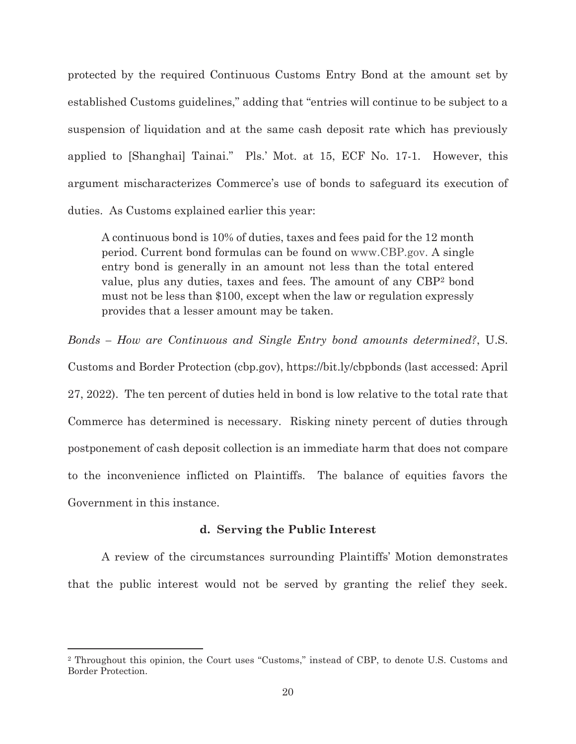protected by the required Continuous Customs Entry Bond at the amount set by established Customs guidelines," adding that "entries will continue to be subject to a suspension of liquidation and at the same cash deposit rate which has previously applied to [Shanghai] Tainai." Pls.' Mot. at 15, ECF No. 17-1. However, this argument mischaracterizes Commerce's use of bonds to safeguard its execution of duties. As Customs explained earlier this year:

A continuous bond is 10% of duties, taxes and fees paid for the 12 month period. Current bond formulas can be found on www.CBP.gov. A single entry bond is generally in an amount not less than the total entered value, plus any duties, taxes and fees. The amount of any CBP2 bond must not be less than \$100, except when the law or regulation expressly provides that a lesser amount may be taken.

*Bonds – How are Continuous and Single Entry bond amounts determined?*, U.S. Customs and Border Protection (cbp.gov), https://bit.ly/cbpbonds (last accessed: April 27, 2022). The ten percent of duties held in bond is low relative to the total rate that Commerce has determined is necessary. Risking ninety percent of duties through postponement of cash deposit collection is an immediate harm that does not compare to the inconvenience inflicted on Plaintiffs. The balance of equities favors the Government in this instance.

#### **d. Serving the Public Interest**

 A review of the circumstances surrounding Plaintiffs' Motion demonstrates that the public interest would not be served by granting the relief they seek.

<sup>2</sup> Throughout this opinion, the Court uses "Customs," instead of CBP, to denote U.S. Customs and Border Protection.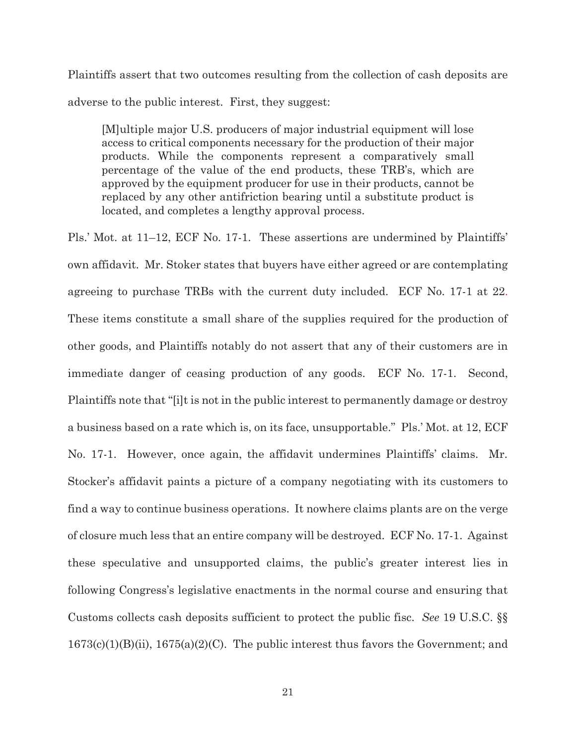Plaintiffs assert that two outcomes resulting from the collection of cash deposits are adverse to the public interest. First, they suggest:

[M]ultiple major U.S. producers of major industrial equipment will lose access to critical components necessary for the production of their major products. While the components represent a comparatively small percentage of the value of the end products, these TRB's, which are approved by the equipment producer for use in their products, cannot be replaced by any other antifriction bearing until a substitute product is located, and completes a lengthy approval process.

Pls.' Mot. at 11–12, ECF No. 17-1. These assertions are undermined by Plaintiffs' own affidavit. Mr. Stoker states that buyers have either agreed or are contemplating agreeing to purchase TRBs with the current duty included. ECF No. 17-1 at 22. These items constitute a small share of the supplies required for the production of other goods, and Plaintiffs notably do not assert that any of their customers are in immediate danger of ceasing production of any goods. ECF No. 17-1. Second, Plaintiffs note that "[i]t is not in the public interest to permanently damage or destroy a business based on a rate which is, on its face, unsupportable." Pls.' Mot. at 12, ECF No. 17-1. However, once again, the affidavit undermines Plaintiffs' claims. Mr. Stocker's affidavit paints a picture of a company negotiating with its customers to find a way to continue business operations. It nowhere claims plants are on the verge of closure much less that an entire company will be destroyed. ECF No. 17-1. Against these speculative and unsupported claims, the public's greater interest lies in following Congress's legislative enactments in the normal course and ensuring that Customs collects cash deposits sufficient to protect the public fisc. *See* 19 U.S.C. §§  $1673(c)(1)(B)(ii)$ ,  $1675(a)(2)(C)$ . The public interest thus favors the Government; and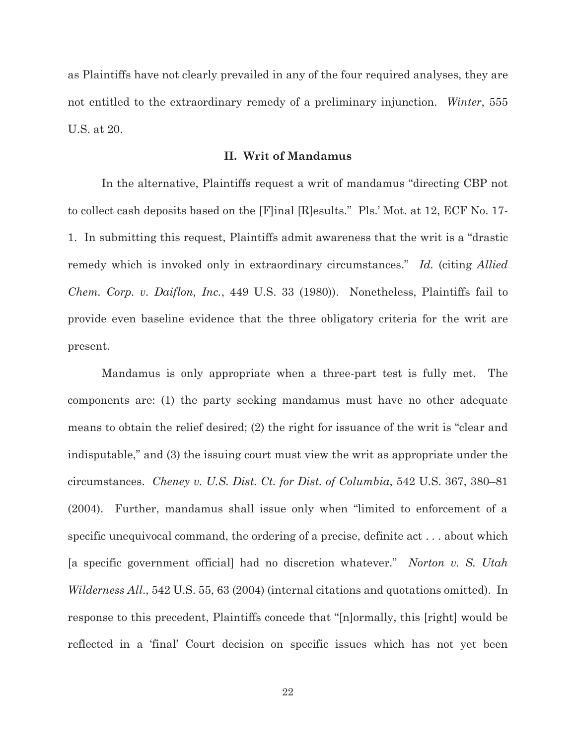as Plaintiffs have not clearly prevailed in any of the four required analyses, they are not entitled to the extraordinary remedy of a preliminary injunction. *Winter*, 555 U.S. at 20.

#### **II. Writ of Mandamus**

 In the alternative, Plaintiffs request a writ of mandamus "directing CBP not to collect cash deposits based on the [F]inal [R]esults." Pls.' Mot. at 12, ECF No. 17- 1. In submitting this request, Plaintiffs admit awareness that the writ is a "drastic remedy which is invoked only in extraordinary circumstances." *Id.* (citing *Allied Chem. Corp. v. Daiflon, Inc.*, 449 U.S. 33 (1980)). Nonetheless, Plaintiffs fail to provide even baseline evidence that the three obligatory criteria for the writ are present.

Mandamus is only appropriate when a three-part test is fully met. The components are: (1) the party seeking mandamus must have no other adequate means to obtain the relief desired; (2) the right for issuance of the writ is "clear and indisputable," and (3) the issuing court must view the writ as appropriate under the circumstances. *Cheney v. U.S. Dist. Ct. for Dist. of Columbia*, 542 U.S. 367, 380–81 (2004). Further, mandamus shall issue only when "limited to enforcement of a specific unequivocal command, the ordering of a precise, definite act . . . about which [a specific government official] had no discretion whatever." *Norton v. S. Utah Wilderness All*., 542 U.S. 55, 63 (2004) (internal citations and quotations omitted). In response to this precedent, Plaintiffs concede that "[n]ormally, this [right] would be reflected in a 'final' Court decision on specific issues which has not yet been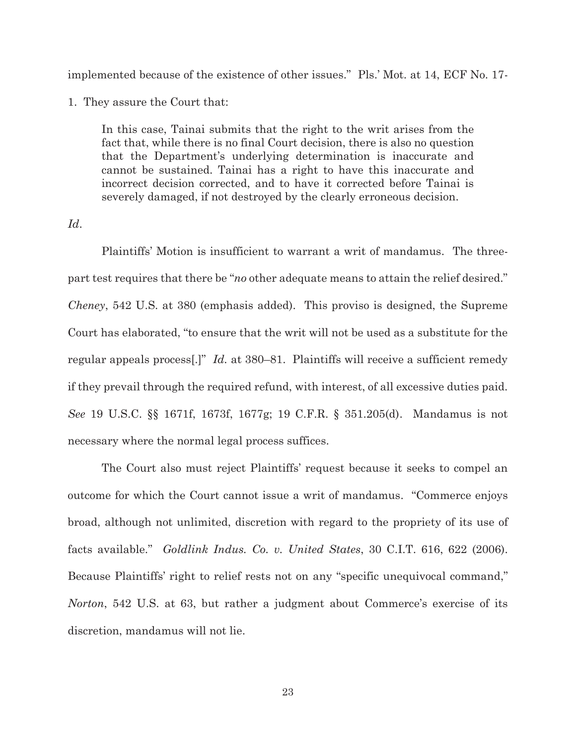implemented because of the existence of other issues." Pls.' Mot. at 14, ECF No. 17-

1. They assure the Court that:

In this case, Tainai submits that the right to the writ arises from the fact that, while there is no final Court decision, there is also no question that the Department's underlying determination is inaccurate and cannot be sustained. Tainai has a right to have this inaccurate and incorrect decision corrected, and to have it corrected before Tainai is severely damaged, if not destroyed by the clearly erroneous decision.

## *Id*.

Plaintiffs' Motion is insufficient to warrant a writ of mandamus. The threepart test requires that there be "*no* other adequate means to attain the relief desired." *Cheney*, 542 U.S. at 380 (emphasis added). This proviso is designed, the Supreme Court has elaborated, "to ensure that the writ will not be used as a substitute for the regular appeals process[.]" *Id.* at 380–81. Plaintiffs will receive a sufficient remedy if they prevail through the required refund, with interest, of all excessive duties paid. *See* 19 U.S.C. §§ 1671f, 1673f, 1677g; 19 C.F.R. § 351.205(d). Mandamus is not necessary where the normal legal process suffices.

The Court also must reject Plaintiffs' request because it seeks to compel an outcome for which the Court cannot issue a writ of mandamus. "Commerce enjoys broad, although not unlimited, discretion with regard to the propriety of its use of facts available." *Goldlink Indus. Co. v. United States*, 30 C.I.T. 616, 622 (2006). Because Plaintiffs' right to relief rests not on any "specific unequivocal command," *Norton*, 542 U.S. at 63, but rather a judgment about Commerce's exercise of its discretion, mandamus will not lie.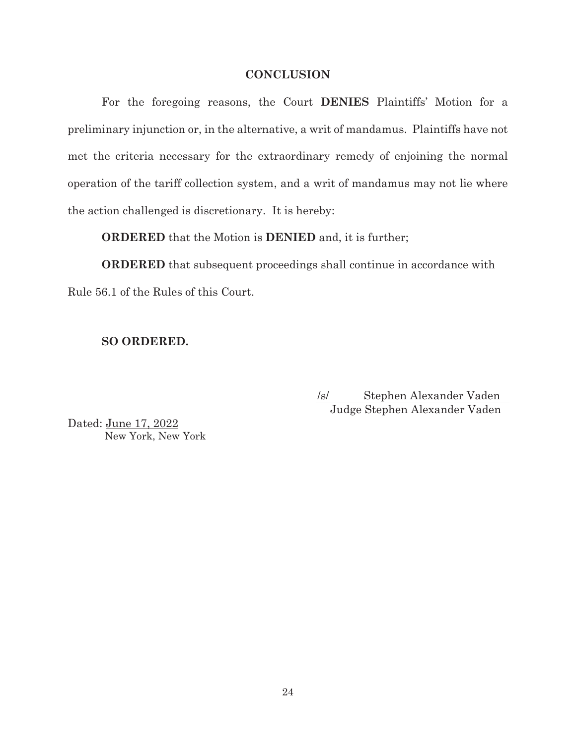## **CONCLUSION**

For the foregoing reasons, the Court **DENIES** Plaintiffs' Motion for a preliminary injunction or, in the alternative, a writ of mandamus. Plaintiffs have not met the criteria necessary for the extraordinary remedy of enjoining the normal operation of the tariff collection system, and a writ of mandamus may not lie where the action challenged is discretionary. It is hereby:

**ORDERED** that the Motion is **DENIED** and, it is further;

**ORDERED** that subsequent proceedings shall continue in accordance with Rule 56.1 of the Rules of this Court.

## **SO ORDERED.**

/s/ Stephen Alexander Vaden Judge Stephen Alexander Vaden

Dated: June 17, 2022 New York, New York